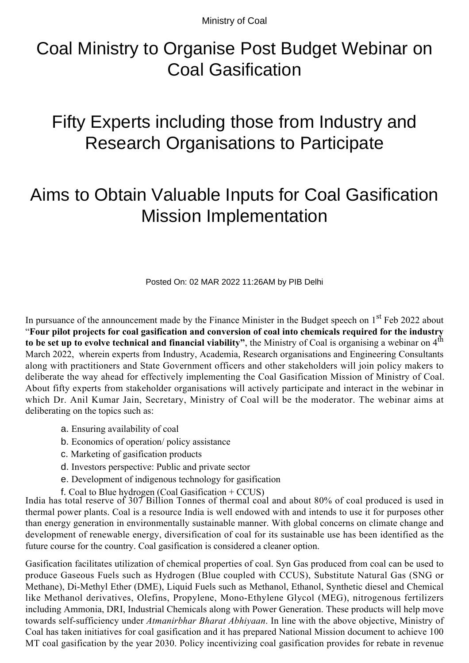Ministry of Coal

## Coal Ministry to Organise Post Budget Webinar on Coal Gasification

## Fifty Experts including those from Industry and Research Organisations to Participate

## Aims to Obtain Valuable Inputs for Coal Gasification Mission Implementation

Posted On: 02 MAR 2022 11:26AM by PIB Delhi

In pursuance of the announcement made by the Finance Minister in the Budget speech on 1<sup>st</sup> Feb 2022 about "**Four pilot projects for coal gasification and conversion of coal into chemicals required for the industry to be set up to evolve technical and financial viability"**, the Ministry of Coal is organising a webinar on 4th March 2022, wherein experts from Industry, Academia, Research organisations and Engineering Consultants along with practitioners and State Government officers and other stakeholders will join policy makers to deliberate the way ahead for effectively implementing the Coal Gasification Mission of Ministry of Coal. About fifty experts from stakeholder organisations will actively participate and interact in the webinar in which Dr. Anil Kumar Jain, Secretary, Ministry of Coal will be the moderator. The webinar aims at deliberating on the topics such as:

- a. Ensuring availability of coal
- b. Economics of operation/ policy assistance
- c. Marketing of gasification products
- d. Investors perspective: Public and private sector
- e. Development of indigenous technology for gasification
- f. Coal to Blue hydrogen (Coal Gasification + CCUS)

India has total reserve of 307 Billion Tonnes of thermal coal and about 80% of coal produced is used in thermal power plants. Coal is a resource India is well endowed with and intends to use it for purposes other than energy generation in environmentally sustainable manner. With global concerns on climate change and development of renewable energy, diversification of coal for its sustainable use has been identified as the future course for the country. Coal gasification is considered a cleaner option.

Gasification facilitates utilization of chemical properties of coal. Syn Gas produced from coal can be used to produce Gaseous Fuels such as Hydrogen (Blue coupled with CCUS), Substitute Natural Gas (SNG or Methane), Di-Methyl Ether (DME), Liquid Fuels such as Methanol, Ethanol, Synthetic diesel and Chemical like Methanol derivatives, Olefins, Propylene, Mono-Ethylene Glycol (MEG), nitrogenous fertilizers including Ammonia, DRI, Industrial Chemicals along with Power Generation. These products will help move towards self-sufficiency under *Atmanirbhar Bharat Abhiyaan*. In line with the above objective, Ministry of Coal has taken initiatives for coal gasification and it has prepared National Mission document to achieve 100 MT coal gasification by the year 2030. Policy incentivizing coal gasification provides for rebate in revenue